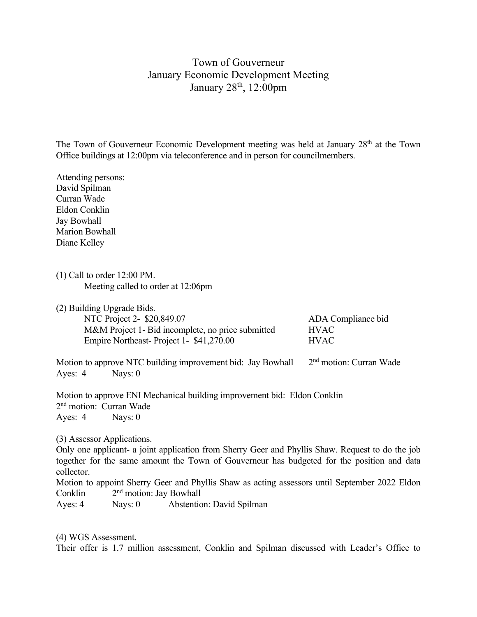## Town of Gouverneur January Economic Development Meeting January 28<sup>th</sup>, 12:00pm

The Town of Gouverneur Economic Development meeting was held at January 28<sup>th</sup> at the Town Office buildings at 12:00pm via teleconference and in person for councilmembers.

Attending persons: David Spilman Curran Wade Eldon Conklin Jay Bowhall Marion Bowhall Diane Kelley

(1) Call to order 12:00 PM. Meeting called to order at 12:06pm

(2) Building Upgrade Bids.

| ADA Compliance bid |
|--------------------|
|                    |
|                    |
|                    |

Motion to approve NTC building improvement bid: Jay Bowhall 2<sup>nd</sup> motion: Curran Wade Ayes: 4 Nays: 0

Motion to approve ENI Mechanical building improvement bid: Eldon Conklin 2nd motion: Curran Wade Ayes: 4 Nays: 0

(3) Assessor Applications.

Only one applicant- a joint application from Sherry Geer and Phyllis Shaw. Request to do the job together for the same amount the Town of Gouverneur has budgeted for the position and data collector.

Motion to appoint Sherry Geer and Phyllis Shaw as acting assessors until September 2022 Eldon Conklin 2<sup>nd</sup> motion: Jay Bowhall

Ayes: 4 Nays: 0 Abstention: David Spilman

(4) WGS Assessment.

Their offer is 1.7 million assessment, Conklin and Spilman discussed with Leader's Office to